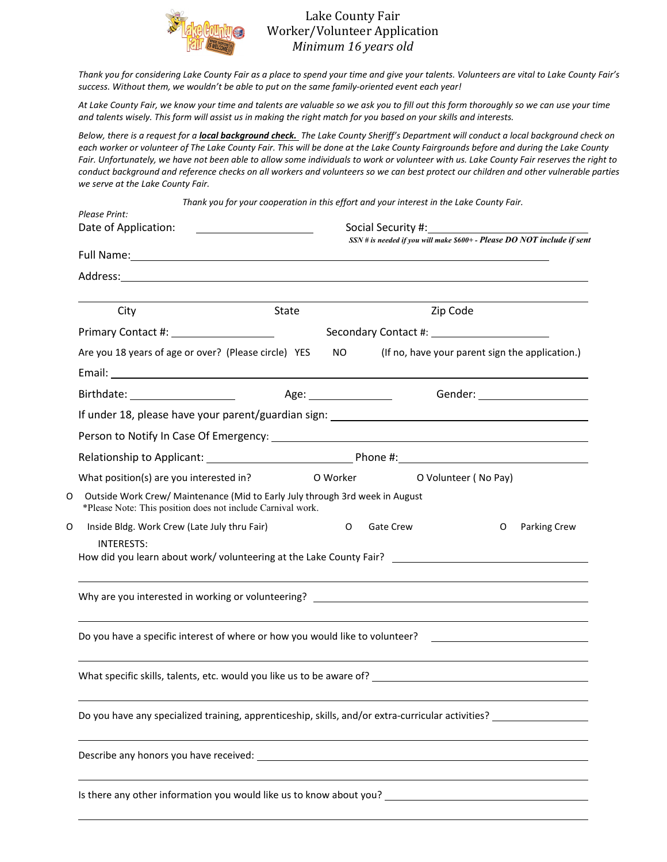

## Lake County Fair Worker/Volunteer Application *Minimum 16 years old*

*Thank you for considering Lake County Fair as a place to spend your time and give your talents. Volunteers are vital to Lake County Fair's success. Without them, we wouldn't be able to put on the same family-oriented event each year!*

*At Lake County Fair, we know your time and talents are valuable so we ask you to fill out this form thoroughly so we can use your time and talents wisely. This form will assist us in making the right match for you based on your skills and interests.* 

*Below, there is a request for a local background check. The Lake County Sheriff's Department will conduct a local background check on each worker or volunteer of The Lake County Fair. This will be done at the Lake County Fairgrounds before and during the Lake County Fair. Unfortunately, we have not been able to allow some individuals to work or volunteer with us. Lake County Fair reserves the right to conduct background and reference checks on all workers and volunteers so we can best protect our children and other vulnerable parties we serve at the Lake County Fair.* 

| Please Print:<br>Date of Application:                                                                                                                                                       |                       | Thank you for your cooperation in this effort and your interest in the Lake County Fair.<br>SSN # is needed if you will make \$600+ - Please DO NOT include if sent                                                            |  |  |
|---------------------------------------------------------------------------------------------------------------------------------------------------------------------------------------------|-----------------------|--------------------------------------------------------------------------------------------------------------------------------------------------------------------------------------------------------------------------------|--|--|
|                                                                                                                                                                                             |                       | Full Name: 1999 Contract Contract Contract Contract Contract Contract Contract Contract Contract Contract Contract Contract Contract Contract Contract Contract Contract Contract Contract Contract Contract Contract Contract |  |  |
|                                                                                                                                                                                             |                       |                                                                                                                                                                                                                                |  |  |
| City                                                                                                                                                                                        | State                 | Zip Code                                                                                                                                                                                                                       |  |  |
|                                                                                                                                                                                             |                       |                                                                                                                                                                                                                                |  |  |
| Are you 18 years of age or over? (Please circle) YES                                                                                                                                        | NO.                   | (If no, have your parent sign the application.)                                                                                                                                                                                |  |  |
|                                                                                                                                                                                             |                       | Gender: ______________________                                                                                                                                                                                                 |  |  |
|                                                                                                                                                                                             |                       |                                                                                                                                                                                                                                |  |  |
|                                                                                                                                                                                             |                       |                                                                                                                                                                                                                                |  |  |
|                                                                                                                                                                                             |                       |                                                                                                                                                                                                                                |  |  |
| What position(s) are you interested in?<br>Outside Work Crew/ Maintenance (Mid to Early July through 3rd week in August<br>O<br>*Please Note: This position does not include Carnival work. | O Worker North States | O Volunteer (No Pay)                                                                                                                                                                                                           |  |  |
| O<br>Inside Bldg. Work Crew (Late July thru Fair)<br><b>INTERESTS:</b>                                                                                                                      | O                     | <b>Gate Crew</b><br>Parking Crew<br>O<br>How did you learn about work/volunteering at the Lake County Fair? _________________________________                                                                                  |  |  |
|                                                                                                                                                                                             |                       |                                                                                                                                                                                                                                |  |  |
|                                                                                                                                                                                             |                       | Do you have a specific interest of where or how you would like to volunteer? _______________________                                                                                                                           |  |  |
|                                                                                                                                                                                             |                       |                                                                                                                                                                                                                                |  |  |
| Do you have any specialized training, apprenticeship, skills, and/or extra-curricular activities?                                                                                           |                       |                                                                                                                                                                                                                                |  |  |
| Describe any honors you have received:                                                                                                                                                      |                       |                                                                                                                                                                                                                                |  |  |
| Is there any other information you would like us to know about you?                                                                                                                         |                       |                                                                                                                                                                                                                                |  |  |